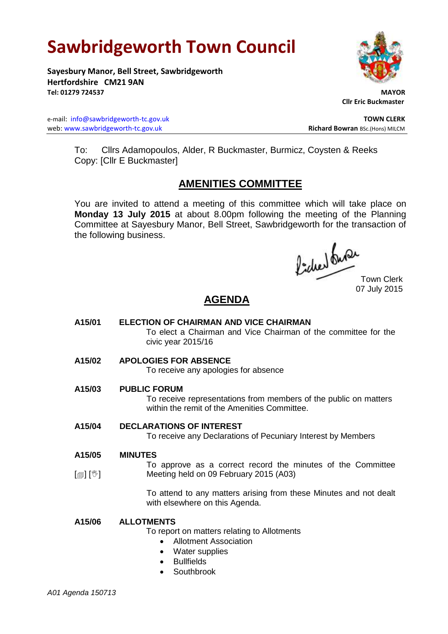# **Sawbridgeworth Town Council**

**Sayesbury Manor, Bell Street, Sawbridgeworth Hertfordshire CM21 9AN Tel: 01279 724537 MAYOR**

e-mail: [info@sawbridgeworth-tc.gov.uk](mailto:info@sawbridgeworth-tc.gov.uk) **TOWN CLERK** web: www.sawbridgeworth-tc.gov.uk<br> **Richard Bowran** BSc.(Hons) MILCM

To: Cllrs Adamopoulos, Alder, R Buckmaster, Burmicz, Coysten & Reeks Copy: [Cllr E Buckmaster]

# **AMENITIES COMMITTEE**

You are invited to attend a meeting of this committee which will take place on **Monday 13 July 2015** at about 8.00pm following the meeting of the Planning Committee at Sayesbury Manor, Bell Street, Sawbridgeworth for the transaction of the following business.

Picked Que

Town Clerk 07 July 2015

# **AGENDA**

**A15/01 ELECTION OF CHAIRMAN AND VICE CHAIRMAN**

To elect a Chairman and Vice Chairman of the committee for the civic year 2015/16

**A15/02 APOLOGIES FOR ABSENCE**

To receive any apologies for absence

**A15/03 PUBLIC FORUM**

To receive representations from members of the public on matters within the remit of the Amenities Committee.

#### **A15/04 DECLARATIONS OF INTEREST**

To receive any Declarations of Pecuniary Interest by Members

**A15/05 MINUTES**

 $[\circledast]$   $[\circledast]$ To approve as a correct record the minutes of the Committee Meeting held on 09 February 2015 (A03)

> To attend to any matters arising from these Minutes and not dealt with elsewhere on this Agenda.

#### **A15/06 ALLOTMENTS**

To report on matters relating to Allotments

- Allotment Association
- Water supplies
- Bullfields
- Southbrook



 **Cllr Eric Buckmaster**